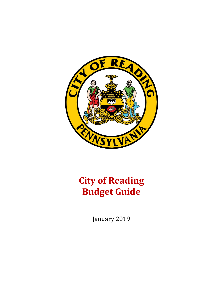

# **City of Reading Budget Guide**

January 2019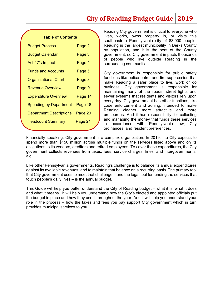# **City of Reading Budget Guide 2019**

### **Table of Contents**

| <b>Budget Process</b>          | Page 2  |
|--------------------------------|---------|
| <b>Budget Calendar</b>         | Page 3  |
| Act 47's Impact                | Page 4  |
| <b>Funds and Accounts</b>      | Page 5  |
| <b>Organizational Chart</b>    | Page 8  |
| <b>Revenue Overview</b>        | Page 9  |
| <b>Expenditure Overview</b>    | Page 14 |
| <b>Spending by Department</b>  | Page 18 |
| <b>Department Descriptions</b> | Page 20 |
| <b>Headcount Summary</b>       | Page 21 |
|                                |         |

Reading City government is critical to everyone who lives, works, owns property in, or visits this southeastern Pennsylvania city of 88,000 people. Reading is the largest municipality in Berks County by population, and it is the seat of the County government, so City government impacts thousands of people who live outside Reading in the surrounding communities.

City government is responsible for public safety functions like police patrol and fire suppression that make Reading a safer place to live, work or do business. City government is responsible for maintaining many of the roads, street lights and sewer systems that residents and visitors rely upon every day. City government has other functions, like code enforcement and zoning, intended to make Reading cleaner, more attractive and more prosperous. And it has responsibility for collecting and managing the money that funds these services in accordance with Pennsylvania law, City ordinances, and resident preferences.

Financially speaking, City government is a complex organization. In 2019, the City expects to spend more than \$150 million across multiple funds on the services listed above and on its obligations to its vendors, creditors and retired employees. To cover these expenditures, the City government collects revenues from taxes, fees, service charges, fines, and intergovernmental aid.

Like other Pennsylvania governments, Reading's challenge is to balance its annual expenditures against its available revenues, and to maintain that balance on a recurring basis. The primary tool that City government uses to meet that challenge – and the legal tool for funding the services that touch people's daily lives – is the annual budget.

This Guide will help you better understand the City of Reading budget – what it is, what it does and what it means. It will help you understand how the City's elected and appointed officials put the budget in place and how they use it throughout the year. And it will help you understand your role in the process – how the taxes and fees you pay support City government which in turn provides municipal services to you.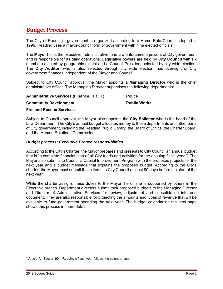# **Budget Process**

The City of Reading's government is organized according to a Home Rule Charter adopted in 1996. Reading uses a mayor-council form of government with nine elected officials.

The **Mayor** holds the executive, administrative, and law enforcement powers of City government and is responsible for its daily operations. Legislative powers are held by **City Council** with six members elected by geographic district and a Council President selected by city wide election. The **City Auditor,** who is also selected through city wide election, has oversight of City government finances independent of the Mayor and Council.

Subject to City Council approval, the Mayor appoints a **Managing Director** who is the chief administrative officer. The Managing Director supervises the following departments:

### **Administrative Services (Finance, HR, IT)**

**Community Development** 

**Police** 

### **Public Works**

### **Fire and Rescue Services**

Subject to Council approval, the Mayor also appoints the **City Solicitor** who is the head of the Law Department. The City's annual budget allocates money to these departments and other parts of City government, including the Reading Public Library, the Board of Ethics, the Charter Board, and the Human Relations Commission.

### *Budget process: Executive Branch responsibilities*

According to the City's Charter, the Mayor prepares and presents to City Council an annual budget that is "a complete financial plan of all City funds and activities for the ensuing fiscal year."1 The Mayor also submits to Council a Capital Improvement Program with the proposed projects for the next year and a budget message that explains the proposed budget. According to the City's charter, the Mayor must submit these items to City Council at least 90 days before the start of the next year.

While the charter assigns these duties to the Mayor, he or she is supported by others in the Executive branch. Department directors submit their proposed budgets to the Managing Director and Director of Administrative Services for review, adjustment and consolidation into one document. They are also responsible for projecting the amounts and types of revenue that will be available to fund government spending the next year. The budget calendar on the next page shows this process in more detail.

 <sup>1</sup> Article IV, Section 904. Reading's fiscal year follows the calendar year.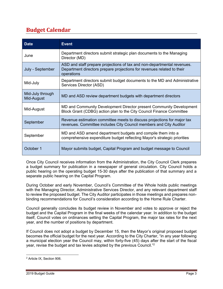# **Budget Calendar**

| <b>Date</b>                    | <b>Event</b>                                                                                                                                                    |
|--------------------------------|-----------------------------------------------------------------------------------------------------------------------------------------------------------------|
| June                           | Department directors submit strategic plan documents to the Managing<br>Director (MD)                                                                           |
| July - September               | ASD and staff prepare projections of tax and non-departmental revenues.<br>Department directors prepare projections for revenues related to their<br>operations |
| Mid-July                       | Department directors submit budget documents to the MD and Administrative<br>Services Director (ASD)                                                            |
| Mid-July through<br>Mid-August | MD and ASD review department budgets with department directors                                                                                                  |
| Mid-August                     | MD and Community Development Director present Community Development<br>Block Grant (CDBG) action plan to the City Council Finance Committee                     |
| September                      | Revenue estimation committee meets to discuss projections for major tax<br>revenues. Committee includes City Council members and City Auditor                   |
| September                      | MD and ASD amend department budgets and compile them into a<br>comprehensive expenditure budget reflecting Mayor's strategic priorities                         |
| October 1                      | Mayor submits budget, Capital Program and budget message to Council                                                                                             |

Once City Council receives information from the Administration, the City Council Clerk prepares a budget summary for publication in a newspaper of general circulation. City Council holds a public hearing on the operating budget 15-30 days after the publication of that summary and a separate public hearing on the Capital Program.

During October and early November, Council's Committee of the Whole holds public meetings with the Managing Director, Administrative Services Director, and any relevant department staff to review the proposed budget. The City Auditor participates in those meetings and prepares nonbinding recommendations for Council's consideration according to the Home Rule Charter.

Council generally concludes its budget review in November and votes to approve or reject the budget and the Capital Program in the final weeks of the calendar year. In addition to the budget itself, Council votes on ordinances setting the Capital Program, the major tax rates for the next year, and the number of positions by department.

If Council does not adopt a budget by December 15, then the Mayor's original proposed budget becomes the official budget for the next year. According to the City Charter, "in any year following a municipal election year the Council may, within forty-five (45) days after the start of the fiscal year, revise the budget and tax levies adopted by the previous Council."2

 2 Article IX, Section 906.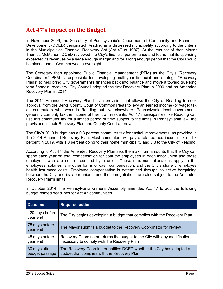# **Act 47's Impact on the Budget**

In November 2009, the Secretary of Pennsylvania's Department of Community and Economic Development (DCED) designated Reading as a distressed municipality according to the criteria in the Municipalities Financial Recovery Act (Act 47 of 1987). At the request of then Mayor Thomas McMahon, DCED reviewed the City's financial performance and found that its spending exceeded its revenues by a large enough margin and for a long enough period that the City should be placed under Commonwealth oversight.

The Secretary then appointed Public Financial Management (PFM) as the City's "Recovery Coordinator." PFM is responsible for developing multi-year financial and strategic "Recovery Plans" to help bring City government's finances back into balance and move it toward true long term financial recovery. City Council adopted the first Recovery Plan in 2009 and an Amended Recovery Plan in 2014.

The 2014 Amended Recovery Plan has a provision that allows the City of Reading to seek approval from the Berks County Court of Common Pleas to levy an earned income (or wage) tax on commuters who work in Reading but live elsewhere. Pennsylvania local governments generally can only tax the income of their own residents. Act 47 municipalities like Reading can use this commuter tax for a limited period of time subject to the limits in Pennsylvania law, the provisions in their Recovery Plan and County Court approval.

The City's 2019 budget has a 0.3 percent commuter tax for capital improvements, as provided in the 2014 Amended Recovery Plan. Most commuters will pay a total earned income tax of 1.3 percent in 2019, with 1.0 percent going to their home municipality and 0.3 to the City of Reading.

According to Act 47, the Amended Recovery Plan sets the maximum amounts that the City can spend each year on total compensation for both the employees in each labor union and those employees who are not represented by a union. These maximum allocations apply to the employees' salaries, any other forms of cash compensation, and the City's share of employee health insurance costs. Employee compensation is determined through collective bargaining between the City and its labor unions, and those negotiations are also subject to the Amended Recovery Plan's limits.

In October 2014, the Pennsylvania General Assembly amended Act 47 to add the following budget related deadlines for Act 47 communities.

| <b>Deadline</b>                 | <b>Required action</b>                                                                                                   |
|---------------------------------|--------------------------------------------------------------------------------------------------------------------------|
| 120 days before<br>year end     | The City begins developing a budget that complies with the Recovery Plan                                                 |
| 75 days before<br>year end      | The Mayor submits a budget to the Recovery Coordinator for review                                                        |
| 45 days before<br>year end      | Recovery Coordinator returns the budget to the City with any modifications<br>necessary to comply with the Recovery Plan |
| 30 days after<br>budget passage | The Recovery Coordinator notifies DCED whether the City has adopted a<br>budget that complies with the Recovery Plan     |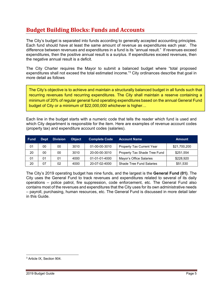# **Budget Building Blocks: Funds and Accounts**

The City's budget is separated into funds according to generally accepted accounting principles. Each fund should have at least the same amount of revenue as expenditures each year. The difference between revenues and expenditures in a fund is its "annual result." If revenues exceed expenditures, then the positive annual result is a surplus. If expenditures exceed revenues, then the negative annual result is a deficit.

The City Charter requires the Mayor to submit a balanced budget where "total proposed expenditures shall not exceed the total estimated income."3 City ordinances describe that goal in more detail as follows

The City's objective is to achieve and maintain a structurally balanced budget in all funds such that recurring revenues fund recurring expenditures. The City shall maintain a reserve containing a minimum of 20% of regular general fund operating expenditures based on the annual General Fund budget of City or a minimum of \$22,000,000 whichever is higher…

Each line in the budget starts with a numeric code that tells the reader which fund is used and which City department is responsible for the item. Here are examples of revenue account codes (property tax) and expenditure account codes (salaries).

| <b>Fund</b> | <b>Dept</b> | <b>Division</b> | <b>Object</b> | <b>Complete Code</b> | <b>Account Name</b>              | <b>Amount</b> |
|-------------|-------------|-----------------|---------------|----------------------|----------------------------------|---------------|
| 01          | 00          | 00              | 3010          | 01-00-00-3010        | <b>Property Tax Current Year</b> | \$21,700,200  |
| 20          | 00          | 00              | 3010          | 20-00-00-3010        | Property Tax Shade Tree Fund     | \$251,554     |
| 01          | 01          | 01              | 4000          | 01-01-01-4000        | Mayor's Office Salaries          | \$228,920     |
| 20          | 07          | 02              | 4000          | 20-07-02-4000        | <b>Shade Tree Fund Salaries</b>  | \$51,530      |

The City's 2019 operating budget has nine funds, and the largest is the **General Fund (01)**. The City uses the General Fund to track revenues and expenditures related to several of its daily operations – police patrol, fire suppression, code enforcement, etc. The General Fund also contains most of the revenues and expenditures that the City uses for its own administrative needs – payroll, purchasing, human resources, etc. The General Fund is discussed in more detail later in this Guide.

 3 Article IX, Section 904.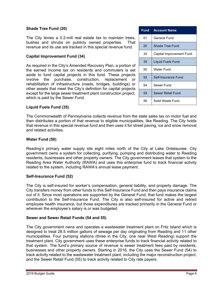### **Shade Tree Fund (20)**

The City levies a 0.2-mill real estate tax to maintain trees, bushes and shrubs on publicly owned properties. That revenue and its use are tracked in this special revenue fund.

### **Capital Improvement Fund (34)**

As required in the City's Amended Recovery Plan, a portion of the earned income tax on residents and commuters is set aside to fund capital projects in this fund. These projects involve the purchase, construction, replacement or rehabilitation of infrastructure (roads, bridges, buildings) or other assets that meet the City's definition for capital projects except for the large sewer treatment plant construction project, which is paid by the Sewer Fund.

| <b>Fund</b> | <b>Account Name</b>      |
|-------------|--------------------------|
| 01          | General Fund             |
| 20          | Shade Tree Fund          |
| 34          | Capital Improvement Fund |
| 35          | <b>Liquid Fuels Fund</b> |
| 50          | Water Fund               |
| 52          | Self-Insurance Fund      |
| 54          | Sewer Fund               |
| 55          | Sewer Retail Fund        |
| 56          | Solid Waste Fund         |

### **Liquid Fuels Fund (35)**

The Commonwealth of Pennsylvania collects revenue from the state sales tax on motor fuel and then distributes a portion of that revenue to eligible municipalities, like Reading. The City holds that revenue in this special revenue fund and then uses it for street paving, ice and snow removal and related activities.

### **Water Fund (50)**

Reading's primary water supply sits eight miles north of the City at Lake Ontelaunee. City government owns a system for collecting, purifying, pumping and distributing water to Reading residents, businesses and other property owners. The City government leases that system to the Reading Area Water Authority (RAWA) and uses this enterprise fund to track financial activity related to the system, including RAWA's annual lease payment.

### **Self-Insurance Fund (52)**

The City is self-insured for worker's compensation, general liability, and property damage. The City transfers money from other funds to this Self-Insurance Fund and then pays insurance claims out of it. Since most operations are supported by the General Fund, that fund makes the largest contribution to the Self-Insurance Fund. The City is also self-insured for active and retired employee health insurance, but those expenditures are tracked primarily in the General Fund or wherever the employee's salary is or was budgeted.

### **Sewer and Sewer Retail Funds (54 and 55)**

The City government owns and operates a wastewater treatment plant on Fritz Island which is designed to treat 28.5 million gallons of sewage per day originating from Reading and 11 other municipalities. Four pumping stations (three in the City, one near West Reading) support the treatment plant. City government uses these enterprise funds to track financial activity related to that system. The fund's primary source of revenue is sewer treatment fees paid by residents, businesses and other property owners. Starting in 2016, the City uses the Sewer Fund (54) to track activity related to the wastewater treatment plant, including the major reconstruction project, and the Sewer Retail Fund (55) to track activity related to City rate payers.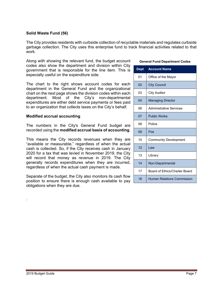### **Solid Waste Fund (56)**

The City provides residents with curbside collection of recyclable materials and regulates curbside garbage collection. The City uses this enterprise fund to track financial activities related to that work.

Along with showing the relevant fund, the budget account codes also show the department and division within City government that is responsible for the line item. This is especially useful on the expenditure side.

The chart to the right shows account codes for each department in the General Fund and the organizational chart on the next page shows the division codes within each department. Most of the City's non-departmental expenditures are either debt service payments or fees paid to an organization that collects taxes on the City's behalf.

### **Modified accrual accounting**

The numbers in the City's General Fund budget are recorded using the **modified accrual basis of accounting**.

This means the City records revenues when they are "available or measurable," regardless of when the actual cash is collected. So, if the City receives cash in January 2020 for a tax that was levied in November 2019, the City will record that money as revenue in 2019. The City generally records expenditures when they are incurred, regardless of when the actual cash payment is made.

Separate of the budget, the City also monitors its cash flow position to ensure there is enough cash available to pay obligations when they are due.

### **General Fund Department Codes**

| <b>Dept</b> | <b>Account Name</b>               |
|-------------|-----------------------------------|
| 01          | Office of the Mayor               |
| 02          | <b>City Council</b>               |
| 03          | <b>City Auditor</b>               |
| 04          | <b>Managing Director</b>          |
| 06          | <b>Administrative Services</b>    |
| 07          | <b>Public Works</b>               |
| 08          | Police                            |
| 09          | Fire                              |
| 10          | <b>Community Development</b>      |
| 12          | l aw                              |
| 13          | Library                           |
| 14          | Non-Departmental                  |
| 17          | Board of Ethics/Charter Board     |
| 18          | <b>Human Relations Commission</b> |

.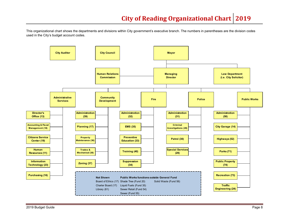This organizational chart shows the departments and divisions within City government's executive branch. The numbers in parentheses are the division codes used in the City's budget account codes.

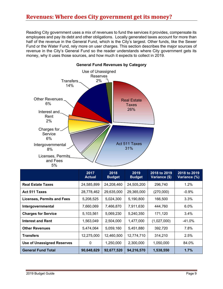# **Revenues: Where does City government get its money?**

Reading City government uses a mix of revenues to fund the services it provides, compensate its employees and pay its debt and other obligations. Locally generated taxes account for more than half of the revenue in the General Fund, which is the City's largest. Other funds, like the Sewer Fund or the Water Fund, rely more on user charges. This section describes the major sources of revenue in the City's General Fund so the reader understands where City government gets its money, why it uses those sources, and how much it expects to collect in 2019.



|                                   | 2017<br><b>Actual</b> | 2018<br><b>Budget</b> | 2019<br><b>Budget</b> | 2018 to 2019<br>Variance (\$) | 2018 to 2019<br>Variance (%) |
|-----------------------------------|-----------------------|-----------------------|-----------------------|-------------------------------|------------------------------|
| <b>Real Estate Taxes</b>          | 24,585,899            | 24,208,460            | 24,505,200            | 296,740                       | 1.2%                         |
| <b>Act 511 Taxes</b>              | 28,778,462            | 29,635,000            | 29,365,000            | (270,000)                     | $-0.9%$                      |
| <b>Licenses, Permits and Fees</b> | 5,208,525             | 5,024,300             | 5,190,800             | 166,500                       | $3.3\%$                      |
| Intergovernmental                 | 7,660,069             | 7,466,870             | 7,911,630             | 444,760                       | 6.0%                         |
| <b>Charges for Service</b>        | 5,103,561             | 5,069,230             | 5,240,350             | 171,120                       | $3.4\%$                      |
| <b>Interest and Rent</b>          | 1,563,049             | 2,504,000             | 1,477,000             | (1,027,000)                   | -41.0%                       |
| <b>Other Revenues</b>             | 5,474,064             | 5,059,160             | 5,451,880             | 392,720                       | 7.8%                         |
| <b>Transfers</b>                  | 12,275,000            | 12,460,500            | 12,774,710            | 314,210                       | 2.5%                         |
| <b>Use of Unassigned Reserves</b> | 0                     | 1,250,000             | 2,300,000             | 1,050,000                     | 84.0%                        |
| <b>General Fund Total</b>         | 90,648,629            | 92,677,520            | 94,216,570            | 1,538,550                     | 1.7%                         |

### **General Fund Revenues by Category**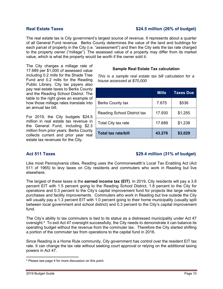### **Real Estate Taxes \$24.5 million (26% of budget)**

The real estate tax is City government's largest source of revenue. It represents about a quarter of all General Fund revenue. Berks County determines the value of the land and buildings for each parcel of property in the City (i.e. "assessment") and then the City sets the tax rate charged to the property owner ("millage"). The assessed value of a property may differ from its market value, which is what the property would be worth if the owner sold it.

The City charges a millage rate of 17.689 per \$1,000 of assessed value including 0.2 mills for the Shade Tree Fund and 0.2 mills for the Reading Public Library. City tax payers also pay real estate taxes to Berks County and the Reading School District. The table to the right gives an example of how those millage rates translate into an annual tax bill.

For 2019, the City budgets \$24.5 million in real estate tax revenue in the General Fund, including \$2.3 million from prior years. Berks County collects current and prior year real estate tax revenues for the City.

### **Sample Real Estate Tax calculation**

*This is a sample real estate tax bill calculation for a house assessed at \$70,000* 

|                             | <b>Mills</b> | <b>Taxes Due</b> |
|-----------------------------|--------------|------------------|
| <b>Berks County tax</b>     | 7.675        | \$536            |
| Reading School District tax | 17.930       | \$1,255          |
| Total City tax rate         | 17.689       | \$1,238          |
| <b>Total tax rate/bill</b>  | 43.276       | \$3,029          |

### **Act 511 Taxes \$29.4 million (31% of budget)**

Like most Pennsylvania cities, Reading uses the Commonwealth's Local Tax Enabling Act (Act 511 of 1965) to levy taxes on City residents and commuters who work in Reading but live elsewhere.

The largest of these taxes is the **earned income tax (EIT)**. In 2019, City residents will pay a 3.6 percent EIT with 1.5 percent going to the Reading School District, 1.8 percent to the City for operations and 0.3 percent to the City's capital improvement fund for projects like large vehicle purchases and facility improvements. Commuters who work in Reading but live outside the City will usually pay a 1.3 percent EIT with 1.0 percent going to their home municipality (usually split between local government and school district) and 0.3 percent to the City's capital improvement fund.

The City's ability to tax commuters is tied to its status as a distressed municipality under Act 47 oversight.4 To exit Act 47 oversight successfully, the City needs to demonstrate it can balance its operating budget without the revenue from the commuter tax. Therefore the City started shifting a portion of the commuter tax from operations to the capital fund in 2016.

Since Reading is a Home Rule community, City government has control over the resident EIT tax rate. It can change the tax rate without seeking court approval or relying on the additional taxing powers in Act 47.

 4 Please see page 4 for more discussion on this point.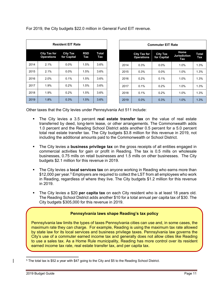For 2019, the City budgets \$22.0 million in General Fund EIT revenue.

| <b>Resident EIT Rate</b> |                                          |                                |                   |              |  |  |
|--------------------------|------------------------------------------|--------------------------------|-------------------|--------------|--|--|
|                          | <b>City Tax for</b><br><b>Operations</b> | <b>City Tax</b><br>for Capital | <b>RSD</b><br>Tax | Total<br>Tax |  |  |
| 2014                     | 2.1%                                     | $0.0\%$                        | 1.5%              | 3.6%         |  |  |
| 2015                     | 2.1%                                     | $0.0\%$                        | 1.5%              | 3.6%         |  |  |
| 2016                     | 2.0%                                     | 0.1%                           | 1.5%              | 3.6%         |  |  |
| 2017                     | 1.9%                                     | 0.2%                           | 1.5%              | 3.6%         |  |  |
| 2018                     | 1.9%                                     | 0.2%                           | 1.5%              | 3.6%         |  |  |
| 2019                     | 1.8%                                     | 0.3%                           | 1.5%              | 3.6%         |  |  |

| <b>Commuter EIT Rate</b> |                                          |                                |                                    |                     |  |
|--------------------------|------------------------------------------|--------------------------------|------------------------------------|---------------------|--|
|                          | <b>City Tax for</b><br><b>Operations</b> | <b>City Tax</b><br>for Capital | Home<br><b>Jurisdiction</b><br>Tax | <b>Total</b><br>Tax |  |
| 2014                     | 0.3%                                     | $0.0\%$                        | 1.0%                               | 1.3%                |  |
| 2015                     | 0.3%                                     | $0.0\%$                        | 1.0%                               | 1.3%                |  |
| 2016                     | 0.2%                                     | 0.1%                           | 1.0%                               | 1.3%                |  |
| 2017                     | 0.1%                                     | 0.2%                           | 1.0%                               | 1.3%                |  |
| 2018                     | 0.1%                                     | 0.2%                           | 1.0%                               | 1.3%                |  |
| 2019                     | 0.0%                                     | 0.3%                           | 1.0%                               | 1.3%                |  |

Other taxes that the City levies under Pennsylvania Act 511 include:

- The City levies a 3.5 percent **real estate transfer tax** on the value of real estate transferred by deed, long-term lease, or other arrangements. The Commonwealth adds 1.0 percent and the Reading School District adds another 0.5 percent for a 5.0 percent total real estate transfer tax. The City budgets \$3.8 million for this revenue in 2019, not including the additional amounts paid to the Commonwealth or School District.
- The City levies a **business privilege tax** on the gross receipts of all entities engaged in commercial activities for gain or profit in Reading. The tax is 0.5 mills on wholesale businesses, 0.75 mills on retail businesses and 1.5 mills on other businesses. The City budgets \$2.1 million for this revenue in 2019.
- The City levies a **local services tax** on anyone working in Reading who earns more than \$12,000 per year.<sup>5</sup> Employers are required to collect the LST from all employees who work in Reading, regardless of where they live. The City budgets \$1.2 million for this revenue in 2019.
- The City levies a \$20 **per capita tax** on each City resident who is at least 18 years old. The Reading School District adds another \$10 for a total annual per capita tax of \$30. The City budgets \$305,000 for this revenue in 2019.

### **Pennsylvania laws shape Reading's tax policy**

Pennsylvania law limits the types of taxes Pennsylvania cities can use and, in some cases, the maximum rate they can charge. For example, Reading is using the maximum tax rate allowed by state law for its local services and business privilege taxes. Pennsylvania law governs the City's use of a commuter earned income tax and generally does not allow cities like Reading to use a sales tax. As a Home Rule municipality, Reading has more control over its resident earned income tax rate, real estate transfer tax, and per capita tax.

 $\mathsf{l}$ 

 <sup>5</sup> The total tax is \$52 a year with \$47 going to the City and \$5 to the Reading School District.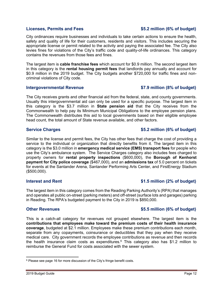### **Licenses, Permits and Fees \$5.2 million (6% of budget)**

City ordinances require businesses and individuals to take certain actions to ensure the health, safety and quality of life for their customers, residents and visitors. This includes securing the appropriate license or permit related to the activity and paying the associated fee. The City also levies fines for violations of the City's traffic code and quality-of-life ordinances. This category contains the revenues from those fees and fines.

The largest item is **cable franchise fees** which account for \$0.9 million. The second largest item in this category is the **rental housing permit fees** that landlords pay annually and account for \$0.9 million in the 2019 budget. The City budgets another \$720,000 for traffic fines and noncriminal violations of City code.

### **Intergovernmental Revenue \$7.9 million (8% of budget)**

The City receives grants and other financial aid from the federal, state, and county governments. Usually this intergovernmental aid can only be used for a specific purpose. The largest item in this category is the \$3.7 million in **State pension aid** that the City receives from the Commonwealth to help pay its Minimum Municipal Obligations to the employee pension plans. The Commonwealth distributes this aid to local governments based on their eligible employee head count, the total amount of State revenue available, and other factors.

### Service Charges **19.1 and 20.3 and 3.5.2 million (6% of budget)**

Similar to the license and permit fees, the City has other fees that charge the cost of providing a service to the individual or organization that directly benefits from it. The largest item in this category is the \$3.0 million in **emergency medical service (EMS) transport fees** for people who use the City's ambulance system. The Service Charges category also includes fees charged to property owners for **rental property inspections** (\$600,000), the **Borough of Kenhorst payment for City police coverage** (\$467,000), and an **admissions tax** of 5.0 percent on tickets for events at the Santander Arena, Santander Performing Arts Center, and FirstEnergy Stadium (\$500,000).

The largest item in this category comes from the Reading Parking Authority's (RPA) that manages and operates all public on-street (parking meters) and off-street (surface lots and garages) parking in Reading. The RPA's budgeted payment to the City in 2019 is \$850,000.

### **Other Revenues COLLEGENS COLLEGENS COLLEGENS COLLEGENS \$5.5 million (6% of budget)**

This is a catch-all category for revenues not grouped elsewhere. The largest item is the **contributions that employees make toward the premium costs of their health insurance coverage**, budgeted at \$2.1 million. Employees make these premium contributions each month, separate from any copayments, coinsurance or deductibles that they pay when they receive medical care. City government records the employee contributions as revenue and then records the health insurance claim costs as expenditures.<sup>6</sup> This category also has \$1.2 million to reimburse the General Fund for costs associated with the sewer system.

### **Interest and Rent <b>Interest and Rent 1.5 million (2% of budget)**

 <sup>6</sup> Please see page 16 for more discussion of the City's fringe benefit costs.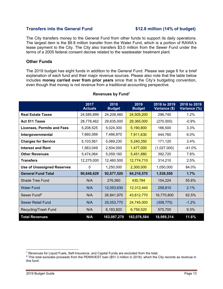### **Transfers into the General Fund \$12.8 million (14% of budget)**

The City transfers money to the General Fund from other funds to support its daily operations. The largest item is the \$9.8 million transfer from the Water Fund, which is a portion of RAWA's lease payment to the City. The City also transfers \$3.0 million from the Sewer Fund under the terms of a 2005 federal consent decree related to the wastewater treatment plant.

### **Other Funds**

The 2019 budget has eight funds in addition to the General Fund. Please see page 6 for a brief explanation of each fund and their major revenue sources. Please also note that the table below includes **money carried over from prior years** since that is the City's budgeting convention, even though that money is not revenue from a traditional accounting perspective.

|                                   | 2017<br><b>Actuals</b> | 2018<br><b>Budget</b> | 2019<br><b>Budget</b> | 2018 to 2019<br>Variance (\$) | 2018 to 2019<br>Variance (%) |
|-----------------------------------|------------------------|-----------------------|-----------------------|-------------------------------|------------------------------|
| <b>Real Estate Taxes</b>          | 24,585,899             | 24,208,460            | 24,505,200            | 296,740                       | 1.2%                         |
| Act 511 Taxes                     | 28,778,462             | 29,635,000            | 29,365,000            | (270,000)                     | $-0.9%$                      |
| <b>Licenses, Permits and Fees</b> | 5,208,525              | 5,024,300             | 5,190,800             | 166,500                       | 3.3%                         |
| Intergovernmental                 | 7,660,069              | 7,466,870             | 7,911,630             | 444,760                       | 6.0%                         |
| <b>Charges for Service</b>        | 5,103,561              | 5,069,230             | 5,240,350             | 171,120                       | 3.4%                         |
| <b>Interest and Rent</b>          | 1,563,049              | 2,504,000             | 1,477,000             | (1,027,000)                   | -41.0%                       |
| <b>Other Revenues</b>             | 5,474,064              | 5,059,160             | 5,451,880             | 392,720                       | 7.8%                         |
| <b>Transfers</b>                  | 12,275,000             | 12,460,500            | 12,774,710            | 314,210                       | 2.5%                         |
| <b>Use of Unassigned Reserves</b> | $\mathbf 0$            | 1,250,000             | 2,300,000             | 1,050,000                     | 84.0%                        |
| <b>General Fund Total</b>         | 90,648,629             | 92,677,520            | 94,216,570            | 1,538,550                     | 1.7%                         |
| Shade Tree Fund                   | N/A                    | 276,560               | 430,784               | 154,224                       | 55.8%                        |
| <b>Water Fund</b>                 | N/A                    | 12,053,630            | 12,312,440            | 258,810                       | 2.1%                         |
| Sewer Fund <sup>8</sup>           | N/A                    | 26,841,970            | 43,612,770            | 16,770,800                    | 62.5%                        |
| <b>Sewer Retail Fund</b>          | N/A                    | 25,053,770            | 24,745,000            | (308, 770)                    | $-1.2%$                      |
| Recycling/Trash Fund              | N/A                    | 6,183,820             | 6,759,520             | 575,700                       | 9.3%                         |
| <b>Total Revenues</b>             | N/A                    | 163,087,270           | 182,076,584           | 18,989,314                    | 11.6%                        |

### **Revenues by Fund7**

 $7$  Revenues for Liquid Fuels, Self-Insurance, and Capital Funds are excluded from the total.

<sup>8</sup> This total excludes proceeds from the PENNVEST loan (\$51.3 million in 2018), which the City records as revenue in this fund.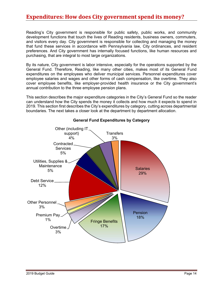# **Expenditures: How does City government spend its money?**

Reading's City government is responsible for public safety, public works, and community development functions that touch the lives of Reading residents, business owners, commuters, and visitors every day. City government is responsible for collecting and managing the money that fund these services in accordance with Pennsylvania law, City ordinances, and resident preferences. And City government has internally focused functions, like human resources and purchasing, that are integral to most large organizations.

By its nature, City government is labor intensive, especially for the operations supported by the General Fund. Therefore, Reading, like many other cities, makes most of its General Fund expenditures on the employees who deliver municipal services. Personnel expenditures cover employee salaries and wages and other forms of cash compensation, like overtime. They also cover employee benefits, like employer-provided health insurance or the City government's annual contribution to the three employee pension plans.

This section describes the major expenditure categories in the City's General Fund so the reader can understand how the City spends the money it collects and how much it expects to spend in 2019. This section first describes the City's expenditures by category, cutting across departmental boundaries. The next takes a closer look at the department by department allocation.



### **General Fund Expenditures by Category**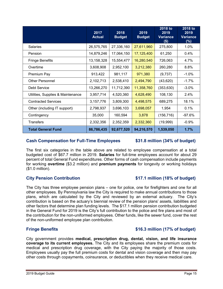| $\mathcal{L}^{\text{max}}_{\text{max}}$ and $\mathcal{L}^{\text{max}}_{\text{max}}$ and $\mathcal{L}^{\text{max}}_{\text{max}}$ and $\mathcal{L}^{\text{max}}_{\text{max}}$ |  |  |
|-----------------------------------------------------------------------------------------------------------------------------------------------------------------------------|--|--|
|                                                                                                                                                                             |  |  |

| <b>Fringe Benefits</b>                                                                                                                                                               | \$16.3 million (17% of budget) |
|--------------------------------------------------------------------------------------------------------------------------------------------------------------------------------------|--------------------------------|
| City government provides medical, prescription drug, dental, vision, and life insurance<br>coverage to its current employees. The City and its employees share the premium costs for |                                |
| medical and prescription drug coverage, with the City paying the majority of those costs.                                                                                            |                                |
| Employees usually pay the full premium costs for dental and vision coverage and then may pay                                                                                         |                                |

### other employees. By Pennsylvania law the City is required to make annual contributions to those plans, which are calculated by the City and reviewed by an external actuary. The City's contribution is based on the actuary's biennial review of the pension plans' assets, liabilities and other factors that determine plan funding levels. The \$17.1 million pension contribution budgeted in the General Fund for 2019 is the City's full contribution to the police and fire plans and most of the contribution for the non-uniformed employees. Other funds, like the sewer fund, cover the rest of the non-uniformed employee plan contribution.

budgeted cost of \$67.7 million in 2019. **Salaries** for full-time employees account for about 29 percent of total General Fund expenditures. Other forms of cash compensation include payments for working **overtime** (\$3.2 million) and **premium payments** for longevity or working holidays (\$1.0 million).

The City has three employee pension plans – one for police, one for firefighters and one for all

The first six categories in the table above are related to employee compensation at a total

# **Cash Compensation for Full-Time Employees \$31.8 million (34% of budget)**

### **City Pension Contribution \$17.1 million (18% of budget)**

|                                   | 2017<br><b>Actual</b> | 2018<br><b>Budget</b> | 2019<br><b>Budget</b> | 2018 to<br>2019<br><b>Variance</b><br>$($ \$) | 2018 to<br>2019<br><b>Variance</b><br>$(\%)$ |
|-----------------------------------|-----------------------|-----------------------|-----------------------|-----------------------------------------------|----------------------------------------------|
| Salaries                          | 26,575,765            | 27,336,160            | 27,611,960            | 275,800                                       | 1.0%                                         |
| Pension                           | 14,879,246            | 17,064,150            | 17,125,400            | 61,250                                        | 0.4%                                         |
| <b>Fringe Benefits</b>            | 13,158,328            | 15,554,477            | 16,280,540            | 726,063                                       | 4.7%                                         |
| Overtime                          | 3,608,908             | 2,952,100             | 3,212,380             | 260,280                                       | 8.8%                                         |
| Premium Pay                       | 913,422               | 981,117               | 971,380               | (9,737)                                       | $-1.0%$                                      |
| <b>Other Personnel</b>            | 2,102,713             | 2,538,410             | 2,494,790             | (43, 620)                                     | $-1.7%$                                      |
| Debt Service                      | 13,266,270            | 11,712,390            | 11,358,760            | (353, 630)                                    | $-3.0%$                                      |
| Utilities, Supplies & Maintenance | 3,957,714             | 4,520,360             | 4,628,490             | 108,130                                       | 2.4%                                         |
| <b>Contracted Services</b>        | 3,157,776             | 3,809,300             | 4,498,575             | 689,275                                       | 18.1%                                        |
| Other (including IT support)      | 2,798,937             | 3,696,103             | 3,698,057             | 1,954                                         | 0.1%                                         |
| Contingency                       | 35,000                | 160,594               | 3,878                 | (156, 716)                                    | $-97.6%$                                     |
| <b>Transfers</b>                  | 2,332,356             | 2,352,359             | 2,332,360             | (19,999)                                      | $-0.9%$                                      |
| <b>Total General Fund</b>         | 86,786,435            | 92,677,520            | 94,216,570            | 1,539,050                                     | 1.7%                                         |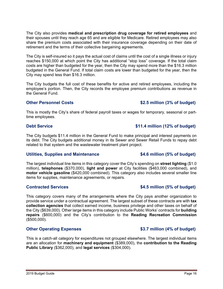The City also provides **medical and prescription drug coverage for retired employees** and their spouses until they reach age 65 and are eligible for Medicare. Retired employees may also share the premium costs associated with their insurance coverage depending on their date of retirement and the terms of their collective bargaining agreements.

The City is self-insured so it pays the actual cost of claims until the cost of a single illness or injury reaches \$150,000 at which point the City has additional "stop loss" coverage. If the total claim costs are higher than budgeted for the year, then the City may spend more than the \$16.3 million budgeted in the General Fund. If total claim costs are lower than budgeted for the year, then the City may spend less than \$16.3 million.

The City budgets the full cost of these benefits for active and retired employees, including the employee's portion. Then, the City records the employee premium contributions as revenue in the General Fund.

### **Other Personnel Costs**  $$2.5$  million (3% of budget)

This is mostly the City's share of federal payroll taxes or wages for temporary, seasonal or parttime employees.

### **Debt Service**  $\qquad$  **811.4 million (12% of budget)**

The City budgets \$11.4 million in the General Fund to make principal and interest payments on its debt. The City budgets additional money in its Sewer and Sewer Retail Funds to repay debt related to that system and the wastewater treatment plant project.

### **Utilities, Supplies and Maintenance \$4.6 million (5% of budget)**

The largest individual line items in this category cover the City's spending on **street lighting** (\$1.0 million), **telephones** (\$370,000), **light and power** at City facilities (\$463,000 combined), and **motor vehicle gasoline** (\$420,000 combined). This category also includes several smaller line items for supplies, maintenance agreements, or repairs.

### **Contracted Services \$4.5 million (5% of budget)**

This category covers many of the arrangements where the City pays another organization to provide service under a contractual agreement. The largest subset of these contracts are with **tax collection agencies** that collect earned income, business privilege and other taxes on behalf of the City (\$639,000). Other large items in this category include Public Works' contracts for **building repairs** (\$600,000) and the City's contribution to the **Reading Recreation Commission** (\$500,000).

### **Other Operating Expenses 63.7 million (4% of budget)**

This is a catch-all category for expenditures not grouped elsewhere. The largest individual items are an allocation for **machinery and equipment** (\$389,000), the **contribution to the Reading Public Library** (\$362,000), and **legal services** (\$304,000).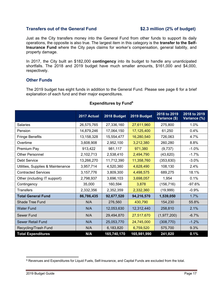### **Transfers out of the General Fund \$2.3 million (2% of budget)**

Just as the City transfers money into the General Fund from other funds to support its daily operations, the opposite is also true. The largest item in this category is the **transfer to the Self-Insurance Fund** where the City pays claims for worker's compensation, general liability, and property damage.

In 2017, the City built an \$182,000 **contingency** into its budget to handle any unanticipated shortfalls. The 2018 and 2019 budget have much smaller amounts, \$161,000 and \$4,000, respectively.

### **Other Funds**

The 2019 budget has eight funds in addition to the General Fund. Please see page 6 for a brief explanation of each fund and their major expenditures.

|                                   | 2017 Actual | 2018 Budget | 2019 Budget | 2018 to 2019<br>Variance (\$) | 2018 to 2019<br>Variance (%) |
|-----------------------------------|-------------|-------------|-------------|-------------------------------|------------------------------|
| <b>Salaries</b>                   | 26,575,765  | 27,336,160  | 27,611,960  | 275,800                       | 1.0%                         |
| Pension                           | 14,879,246  | 17,064,150  | 17,125,400  | 61,250                        | 0.4%                         |
| <b>Fringe Benefits</b>            | 13,158,328  | 15,554,477  | 16,280,540  | 726,063                       | 4.7%                         |
| Overtime                          | 3,608,908   | 2,952,100   | 3,212,380   | 260,280                       | 8.8%                         |
| Premium Pay                       | 913,422     | 981,117     | 971,380     | (9,737)                       | $-1.0%$                      |
| <b>Other Personnel</b>            | 2,102,713   | 2,538,410   | 2,494,790   | (43, 620)                     | $-1.7%$                      |
| <b>Debt Service</b>               | 13,266,270  | 11,712,390  | 11,358,760  | (353, 630)                    | $-3.0%$                      |
| Utilities, Supplies & Maintenance | 3,957,714   | 4,520,360   | 4,628,490   | 108,130                       | 2.4%                         |
| <b>Contracted Services</b>        | 3, 157, 776 | 3,809,300   | 4,498,575   | 689,275                       | 18.1%                        |
| Other (including IT support)      | 2,798,937   | 3,696,103   | 3,698,057   | 1,954                         | 0.1%                         |
| Contingency                       | 35,000      | 160,594     | 3,878       | (156, 716)                    | $-97.6%$                     |
| <b>Transfers</b>                  | 2,332,356   | 2,352,359   | 2,332,360   | (19,999)                      | $-0.9%$                      |
| <b>Total General Fund</b>         | 86,786,435  | 92,677,520  | 94,216,570  | 1,539,050                     | 1.7%                         |
| <b>Shade Tree Fund</b>            | N/A         | 276,560     | 430,790     | 154,230                       | 55.8%                        |
| <b>Water Fund</b>                 | N/A         | 12,053,630  | 12,312,440  | 258,810                       | 2.1%                         |
| Sewer Fund                        | N/A         | 29,494,870  | 27,517,670  | (1, 977, 200)                 | $-6.7%$                      |
| <b>Sewer Retail Fund</b>          | N/A         | 25,053,770  | 24,745,000  | (308, 770)                    | $-1.2%$                      |
| Recycling/Trash Fund              | N/A         | 6,183,820   | 6,759,520   | 575,700                       | 9.3%                         |
| <b>Total Expenditures</b>         | N/A         | 165,740,170 | 165,981,990 | 241,820                       | 0.1%                         |

### **Expenditures by Fund9**

  $^9$  Revenues and Expenditures for Liquid Fuels, Self-Insurance, and Capital Funds are excluded from the total.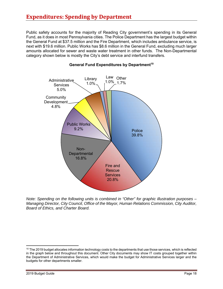Public safety accounts for the majority of Reading City government's spending in its General Fund, as it does in most Pennsylvania cities. The Police Department has the largest budget within the General Fund at \$37.5 million and the Fire Department, which includes ambulance service, is next with \$19.6 million. Public Works has \$8.6 million in the General Fund, excluding much larger amounts allocated for sewer and waste water treatment in other funds. The Non-Departmental category shown below is mostly the City's debt service and interfund transfers.



### **General Fund Expenditures by Department<sup>10</sup>**

*Note: Spending on the following units is combined in "Other" for graphic illustration purposes – Managing Director, City Council, Office of the Mayor, Human Relations Commission, City Auditor, Board of Ethics, and Charter Board.* 

 $10$  The 2019 budget allocates information technology costs to the departments that use those services, which is reflected in the graph below and throughout this document. Other City documents may show IT costs grouped together within the Department of Administrative Services, which would make the budget for Administrative Services larger and the budgets for other departments smaller.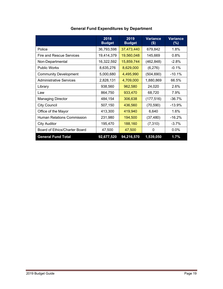|                                   | 2018<br><b>Budget</b> | 2019<br><b>Budget</b> | <b>Variance</b><br>$($ \$) | <b>Variance</b><br>(%) |
|-----------------------------------|-----------------------|-----------------------|----------------------------|------------------------|
| Police                            | 36,793,598            | 37,473,440            | 679,842                    | 1.8%                   |
| <b>Fire and Rescue Services</b>   | 19,414,379            | 19,560,048            | 145,669                    | $0.8\%$                |
| Non-Departmental                  | 16,322,592            | 15,859,744            | (462,848)                  | $-2.8\%$               |
| <b>Public Works</b>               | 8,635,276             | 8,629,000             | (6,276)                    | $-0.1%$                |
| <b>Community Development</b>      | 5,000,680             | 4,495,990             | (504, 690)                 | $-10.1%$               |
| Administrative Services           | 2,828,131             | 4,709,000             | 1,880,869                  | 66.5%                  |
| Library                           | 938,560               | 962,580               | 24,020                     | 2.6%                   |
| Law                               | 864,750               | 933,470               | 68,720                     | 7.9%                   |
| <b>Managing Director</b>          | 484,154               | 306,638               | (177, 516)                 | -36.7%                 |
| <b>City Council</b>               | 507,150               | 436,560               | (70, 590)                  | $-13.9%$               |
| Office of the Mayor               | 413,300               | 419,940               | 6,640                      | 1.6%                   |
| <b>Human Relations Commission</b> | 231,980               | 194,500               | (37, 480)                  | $-16.2%$               |
| <b>City Auditor</b>               | 195,470               | 188,160               | (7, 310)                   | $-3.7%$                |
| Board of Ethics/Charter Board     | 47,500                | 47,500                | 0                          | $0.0\%$                |
| <b>General Fund Total</b>         | 92,677,520            | 94,216,570            | 1,539,050                  | 1.7%                   |

# **General Fund Expenditures by Department**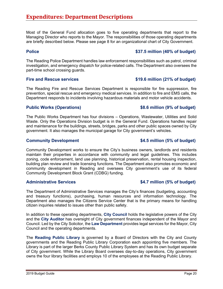Most of the General Fund allocation goes to five operating departments that report to the Managing Director who reports to the Mayor. The responsibilities of those operating departments are briefly described below. Please see page 8 for an organizational chart of City Government.

### **Police 837.5 million (40% of budget)**

The Reading Police Department handles law enforcement responsibilities such as patrol, criminal investigation, and emergency dispatch for police-related calls. The Department also oversees the part-time school crossing guards.

### Fire and Rescue services **\$19.6 million (21% of budget)**

The Reading Fire and Rescue Services Department is responsible for fire suppression, fire prevention, special rescue and emergency medical services. In addition to fire and EMS calls, the Department responds to incidents involving hazardous materials and motor vehicle accidents.

### **Public Works (Operations) \$8.6 million (9% of budget)**

The Public Works Department has four divisions – Operations, Wastewater, Utilities and Solid Waste. Only the Operations Division budget is in the General Fund. Operations handles repair and maintenance for the buildings, streets, bridges, parks and other public spaces owned by City government. It also manages the municipal garage for City government's vehicles.

### **Community Development \$4.5 million (5% of budget)**

Community Development works to ensure the City's business owners, landlords and residents maintain their properties in accordance with community and legal guidelines. This includes zoning, code enforcement, land use planning, historical preservation, rental housing inspection, building plan review and trade licensing functions. The Department also promotes economic and community development in Reading and oversees City government's use of its federal Community Development Block Grant (CDBG) funding.

### Administrative Services **6.6 and 5.6 and 5.6 and 5.6 and 5.6 and 5.6 and 5.6 and 5.6 and 5.6 and 5.6 and 5.6 and 5.6 and 5.6 and 5.6 and 5.6 and 5.6 and 5.6 and 5.6 and 5.6 and 5.6 and 5.6 and 5.7 million (5% of budget)**

The Department of Administrative Services manages the City's finances (budgeting, accounting and treasury functions), purchasing, human resources and information technology. The Department also manages the Citizens Service Center that is the primary means for handling citizen inquiries related to issues other than public safety.

In addition to these operating departments, **City Council** holds the legislative powers of the City and the **City Auditor** has oversight of City government finances independent of the Mayor and Council. Led by the City Solicitor, the **Law Department** provides legal services for the Mayor, City Council and the operating departments.

The **Reading Public Library** is governed by a Board of Directors with the City and County governments and the Reading Public Library Corporation each appointing five members. The Library is part of the larger Berks County Public Library System and has its own budget separate of City government. While the Library Board oversees day-to-day operations, City government owns the four library facilities and employs 10 of the employees at the Reading Public Library.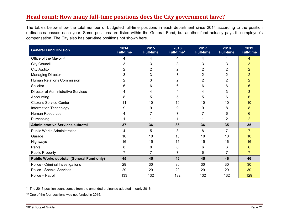# **Head count: How many full‐time positions does the City government have?**

The tables below show the total number of budgeted full-time positions in each department since 2014 according to the position ordinances passed each year. Some positions are listed within the General Fund, but another fund actually pays the employee's compensation. The City also has part-time positions not shown here.

| <b>General Fund Division</b>                     | 2014<br><b>Full-time</b> | 2015<br><b>Full-time</b> | 2016<br>Full-time <sup>11</sup> | 2017<br><b>Full-time</b> | 2018<br><b>Full-time</b> | 2019<br><b>Full-time</b> |
|--------------------------------------------------|--------------------------|--------------------------|---------------------------------|--------------------------|--------------------------|--------------------------|
| Office of the Mayor <sup>12</sup>                | 4                        | 4                        | 4                               | 4                        | 4                        | 4                        |
| <b>City Council</b>                              | 3                        | 3                        | 3                               | 3                        | 3                        | 3                        |
| <b>City Auditor</b>                              | 2                        | 2                        | 2                               | 2                        | 2                        |                          |
| <b>Managing Director</b>                         | 3                        | 3                        | 3                               | 2                        | 2                        |                          |
| Human Relations Commission                       | 2                        | 3                        | 2                               | 2                        | 2                        | 2                        |
| Solicitor                                        | 6                        | 6                        | 6                               | 6                        | 6                        | 6                        |
| <b>Director of Administrative Services</b>       | 4                        | 4                        | 4                               | 4                        | 3                        | 3                        |
| Accounting                                       | 8                        | 5                        | 5                               | 5                        | 6                        | 6                        |
| <b>Citizens Service Center</b>                   | 11                       | 10                       | 10                              | 10                       | 10                       | 10                       |
| Information Technology                           | 9                        | 9                        | 9                               | 9                        | 8                        | 8                        |
| <b>Human Resources</b>                           |                          |                          |                                 |                          | 6                        | 6                        |
| Purchasing                                       |                          |                          |                                 |                          | 2                        | 2                        |
| <b>Administrative Services subtotal</b>          | 37                       | 36                       | 36                              | 36                       | 35                       | 35                       |
| <b>Public Works Administration</b>               | 4                        | 5                        | 8                               | 8                        | 7                        | $\overline{7}$           |
| Garage                                           | 10                       | 10                       | 10                              | 10                       | 10                       | 10                       |
| Highways                                         | 16                       | 15                       | 15                              | 15                       | 16                       | 16                       |
| Parks                                            | 8                        | 8                        | 6                               | 6                        | 6                        | 6                        |
| <b>Public Property</b>                           |                          | 7                        | $\overline{7}$                  | 6                        | $\overline{7}$           | 7                        |
| <b>Public Works subtotal (General Fund only)</b> | 45                       | 45                       | 46                              | 45                       | 46                       | 46                       |
| Police - Criminal Investigations                 | 29                       | 30                       | 30                              | 30                       | 30                       | 30                       |
| Police - Special Services                        | 29                       | 29                       | 29                              | 29                       | 29                       | 30                       |
| Police - Patrol                                  | 133                      | 132                      | 132                             | 132                      | 132                      | 129                      |

<sup>11</sup> The 2016 position count comes from the amended ordinance adopted in early 2016.

<sup>12</sup> One of the four positions was not funded in 2015.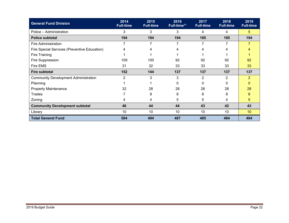| <b>General Fund Division</b>                 | 2014<br><b>Full-time</b> | 2015<br><b>Full-time</b> | 2016<br>Full-time <sup>11</sup> | 2017<br><b>Full-time</b> | 2018<br><b>Full-time</b> | 2019<br><b>Full-time</b> |
|----------------------------------------------|--------------------------|--------------------------|---------------------------------|--------------------------|--------------------------|--------------------------|
| Police - Administration                      | 3                        | 3                        | 3                               | 4                        | 4                        | 5 <sup>5</sup>           |
| <b>Police subtotal</b>                       | 194                      | 194                      | 194                             | 195                      | 195                      | 194                      |
| <b>Fire Administration</b>                   |                          | 7                        | 7                               | 7                        | 7                        | $\overline{7}$           |
| Fire Special Services (Preventive Education) | 4                        | 4                        | 4                               | 4                        | 4                        | 4                        |
| Fire Training                                |                          |                          |                                 |                          |                          |                          |
| Fire Suppression                             | 109                      | 100                      | 92                              | 92                       | 92                       | 92                       |
| Fire EMS                                     | 31                       | 32                       | 33                              | 33                       | 33                       | 33                       |
| <b>Fire subtotal</b>                         | 152                      | 144                      | 137                             | 137                      | 137                      | 137                      |
| <b>Community Development Administration</b>  | $\overline{2}$           | 3                        | 3                               | $\overline{2}$           | $\overline{2}$           | $\overline{2}$           |
| Planning                                     |                          |                          | 0                               | 0                        | 0                        | $\mathbf{0}$             |
| <b>Property Maintenance</b>                  | 32                       | 28                       | 28                              | 28                       | 28                       | 28                       |
| Trades                                       |                          | 8                        | 8                               | 8                        | 8                        | 8                        |
| Zoning                                       | 4                        | 4                        | 5                               | 5                        | 4                        | 5                        |
| <b>Community Development subtotal</b>        | 46                       | 44                       | 44                              | 43                       | 42                       | 43                       |
| Library                                      | 10 <sup>°</sup>          | 10                       | 10                              | 10                       | 10                       | 10 <sup>°</sup>          |
| <b>Total General Fund</b>                    | 504                      | 494                      | 487                             | 485                      | 484                      | 484                      |